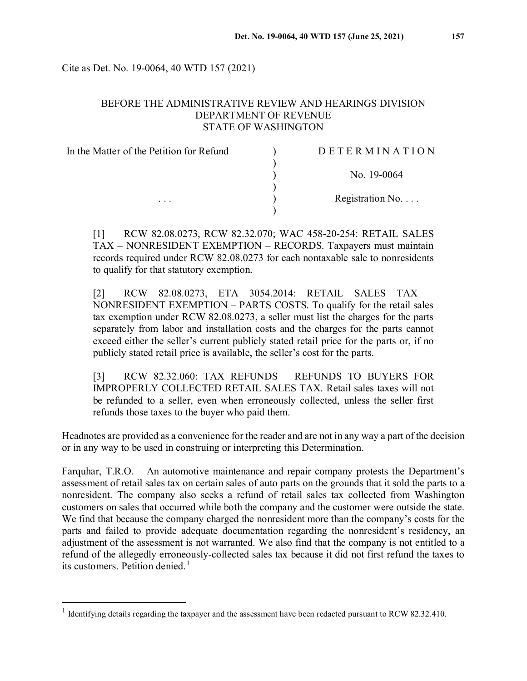Cite as Det. No. 19-0064, 40 WTD 157 (2021)

## BEFORE THE ADMINISTRATIVE REVIEW AND HEARINGS DIVISION DEPARTMENT OF REVENUE STATE OF WASHINGTON

| In the Matter of the Petition for Refund | <b>DETERMINATION</b>     |
|------------------------------------------|--------------------------|
|                                          | No. 19-0064              |
| $\cdots$                                 | Registration No. $\dots$ |
|                                          |                          |

[1] RCW 82.08.0273, RCW 82.32.070; WAC 458-20-254: RETAIL SALES TAX – NONRESIDENT EXEMPTION – RECORDS. Taxpayers must maintain records required under RCW 82.08.0273 for each nontaxable sale to nonresidents to qualify for that statutory exemption.

[2] RCW 82.08.0273, ETA 3054.2014: RETAIL SALES TAX – NONRESIDENT EXEMPTION – PARTS COSTS. To qualify for the retail sales tax exemption under RCW 82.08.0273, a seller must list the charges for the parts separately from labor and installation costs and the charges for the parts cannot exceed either the seller's current publicly stated retail price for the parts or, if no publicly stated retail price is available, the seller's cost for the parts.

[3] RCW 82.32.060: TAX REFUNDS – REFUNDS TO BUYERS FOR IMPROPERLY COLLECTED RETAIL SALES TAX. Retail sales taxes will not be refunded to a seller, even when erroneously collected, unless the seller first refunds those taxes to the buyer who paid them.

Headnotes are provided as a convenience for the reader and are not in any way a part of the decision or in any way to be used in construing or interpreting this Determination.

Farquhar, T.R.O. – An automotive maintenance and repair company protests the Department's assessment of retail sales tax on certain sales of auto parts on the grounds that it sold the parts to a nonresident. The company also seeks a refund of retail sales tax collected from Washington customers on sales that occurred while both the company and the customer were outside the state. We find that because the company charged the nonresident more than the company's costs for the parts and failed to provide adequate documentation regarding the nonresident's residency, an adjustment of the assessment is not warranted. We also find that the company is not entitled to a refund of the allegedly erroneously-collected sales tax because it did not first refund the taxes to its customers. Petition denied.<sup>[1](#page-0-0)</sup>

<span id="page-0-0"></span><sup>&</sup>lt;sup>1</sup> Identifying details regarding the taxpayer and the assessment have been redacted pursuant to RCW 82.32.410.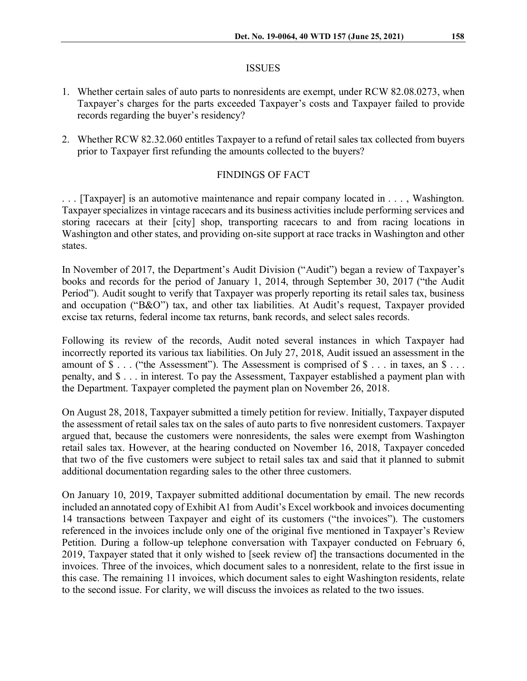#### ISSUES

- 1. Whether certain sales of auto parts to nonresidents are exempt, under RCW 82.08.0273, when Taxpayer's charges for the parts exceeded Taxpayer's costs and Taxpayer failed to provide records regarding the buyer's residency?
- 2. Whether RCW 82.32.060 entitles Taxpayer to a refund of retail sales tax collected from buyers prior to Taxpayer first refunding the amounts collected to the buyers?

### FINDINGS OF FACT

. . . [Taxpayer] is an automotive maintenance and repair company located in . . . , Washington. Taxpayer specializes in vintage racecars and its business activities include performing services and storing racecars at their [city] shop, transporting racecars to and from racing locations in Washington and other states, and providing on-site support at race tracks in Washington and other states.

In November of 2017, the Department's Audit Division ("Audit") began a review of Taxpayer's books and records for the period of January 1, 2014, through September 30, 2017 ("the Audit Period"). Audit sought to verify that Taxpayer was properly reporting its retail sales tax, business and occupation ("B&O") tax, and other tax liabilities. At Audit's request, Taxpayer provided excise tax returns, federal income tax returns, bank records, and select sales records.

Following its review of the records, Audit noted several instances in which Taxpayer had incorrectly reported its various tax liabilities. On July 27, 2018, Audit issued an assessment in the amount of  $\$\ldots$  ("the Assessment"). The Assessment is comprised of  $\$\ldots$  in taxes, an  $\$\ldots$ penalty, and \$ . . . in interest. To pay the Assessment, Taxpayer established a payment plan with the Department. Taxpayer completed the payment plan on November 26, 2018.

On August 28, 2018, Taxpayer submitted a timely petition for review. Initially, Taxpayer disputed the assessment of retail sales tax on the sales of auto parts to five nonresident customers. Taxpayer argued that, because the customers were nonresidents, the sales were exempt from Washington retail sales tax. However, at the hearing conducted on November 16, 2018, Taxpayer conceded that two of the five customers were subject to retail sales tax and said that it planned to submit additional documentation regarding sales to the other three customers.

On January 10, 2019, Taxpayer submitted additional documentation by email. The new records included an annotated copy of Exhibit A1 from Audit's Excel workbook and invoices documenting 14 transactions between Taxpayer and eight of its customers ("the invoices"). The customers referenced in the invoices include only one of the original five mentioned in Taxpayer's Review Petition. During a follow-up telephone conversation with Taxpayer conducted on February 6, 2019, Taxpayer stated that it only wished to [seek review of] the transactions documented in the invoices. Three of the invoices, which document sales to a nonresident, relate to the first issue in this case. The remaining 11 invoices, which document sales to eight Washington residents, relate to the second issue. For clarity, we will discuss the invoices as related to the two issues.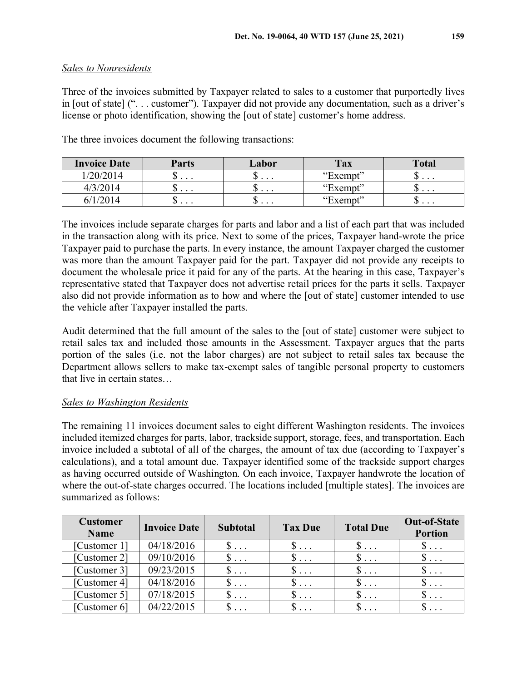# *Sales to Nonresidents*

Three of the invoices submitted by Taxpayer related to sales to a customer that purportedly lives in [out of state] (". . . customer"). Taxpayer did not provide any documentation, such as a driver's license or photo identification, showing the [out of state] customer's home address.

| <b>Invoice Date</b> | <b>Parts</b>    | Labor         | Tax      | <b>Total</b>             |
|---------------------|-----------------|---------------|----------|--------------------------|
| /20/2014            | ◡<br>$\cdots$   | ω<br>$\cdots$ | "Exempt" | $\cup \cdot \cdot \cdot$ |
| 4/3/2014            | ιIJ<br>$\cdots$ | ╜<br>$\cdots$ | "Exempt" | ◡<br>$\cdots$            |
|                     | w<br>$\cdots$   | ◡<br>$\cdots$ | "Exempt" | LΙJ<br>$\cdots$          |

The three invoices document the following transactions:

The invoices include separate charges for parts and labor and a list of each part that was included in the transaction along with its price. Next to some of the prices, Taxpayer hand-wrote the price Taxpayer paid to purchase the parts. In every instance, the amount Taxpayer charged the customer was more than the amount Taxpayer paid for the part. Taxpayer did not provide any receipts to document the wholesale price it paid for any of the parts. At the hearing in this case, Taxpayer's representative stated that Taxpayer does not advertise retail prices for the parts it sells. Taxpayer also did not provide information as to how and where the [out of state] customer intended to use the vehicle after Taxpayer installed the parts.

Audit determined that the full amount of the sales to the [out of state] customer were subject to retail sales tax and included those amounts in the Assessment. Taxpayer argues that the parts portion of the sales (i.e. not the labor charges) are not subject to retail sales tax because the Department allows sellers to make tax-exempt sales of tangible personal property to customers that live in certain states…

# *Sales to Washington Residents*

The remaining 11 invoices document sales to eight different Washington residents. The invoices included itemized charges for parts, labor, trackside support, storage, fees, and transportation. Each invoice included a subtotal of all of the charges, the amount of tax due (according to Taxpayer's calculations), and a total amount due. Taxpayer identified some of the trackside support charges as having occurred outside of Washington. On each invoice, Taxpayer handwrote the location of where the out-of-state charges occurred. The locations included [multiple states]. The invoices are summarized as follows:

| <b>Customer</b><br><b>Name</b> | <b>Invoice Date</b> | <b>Subtotal</b> | <b>Tax Due</b> | <b>Total Due</b>     | <b>Out-of-State</b><br><b>Portion</b> |
|--------------------------------|---------------------|-----------------|----------------|----------------------|---------------------------------------|
| [Customer 1]                   | 04/18/2016          | $\mathbb{S}$    | $\mathcal{S}$  | $\mathcal{S} \ldots$ | $\mathbb{S}$                          |
| [Customer 2]                   | 09/10/2016          | $\mathbb{S}$    | $\S \dots$     | $\$\ldots$           | $\mathbb{S}$                          |
| [Customer 3]                   | 09/23/2015          | $\S$            | $\S$           | $\S$                 | $S \ldots$                            |
| [Customer 4]                   | 04/18/2016          | $\mathbb{S}$    | $\S$           | $\$\ldots$           | $\mathbb{S} \dots$                    |
| [Customer 5]                   | 07/18/2015          | $\S \dots$      | $\S$           | $\S$                 | $\S \dots$                            |
| [Customer 6]                   | 04/22/2015          | $\mathcal{D}$   | $\S \dots$     | $\mathcal{D}$        |                                       |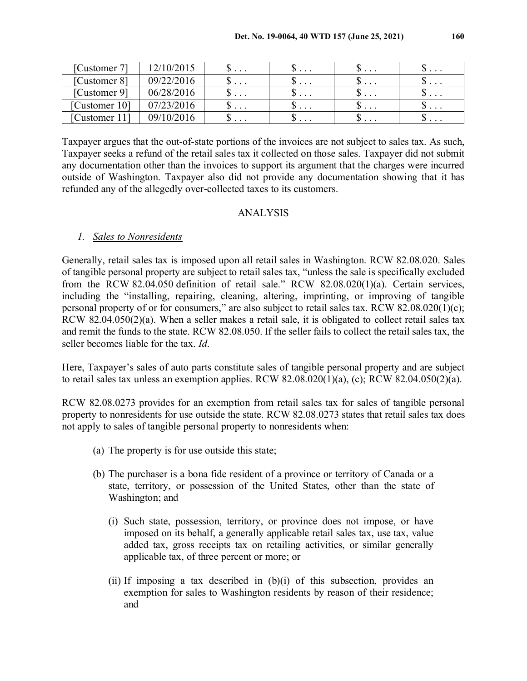| [Customer $71$ | 12/10/2015 | $\cup \cdot \cdot \cdot$ | ມ             | ມ             |          |
|----------------|------------|--------------------------|---------------|---------------|----------|
| [Customer 8]   | 09/22/2016 | $\cup$                   | ມ             | . 0           | .        |
| [Customer 9]   | 06/28/2016 | $\cup$                   | υ             | $\cup$        | .        |
| [Customer 10]  | 07/23/2016 | $\cdots$                 | Φ<br>$\cdots$ | ╜<br>$\cdots$ | υ        |
| Customer       | 09/10/2016 | $\cup \cdot \cdot \cdot$ | υ             | ╜<br>$\cdots$ | $\cdots$ |

Taxpayer argues that the out-of-state portions of the invoices are not subject to sales tax. As such, Taxpayer seeks a refund of the retail sales tax it collected on those sales. Taxpayer did not submit any documentation other than the invoices to support its argument that the charges were incurred outside of Washington. Taxpayer also did not provide any documentation showing that it has refunded any of the allegedly over-collected taxes to its customers.

### ANALYSIS

### *1. Sales to Nonresidents*

Generally, retail sales tax is imposed upon all retail sales in Washington. RCW 82.08.020. Sales of tangible personal property are subject to retail sales tax, "unless the sale is specifically excluded from the RCW 82.04.050 definition of retail sale." RCW 82.08.020(1)(a). Certain services, including the "installing, repairing, cleaning, altering, imprinting, or improving of tangible personal property of or for consumers," are also subject to retail sales tax. RCW 82.08.020(1)(c); RCW 82.04.050(2)(a). When a seller makes a retail sale, it is obligated to collect retail sales tax and remit the funds to the state. RCW 82.08.050. If the seller fails to collect the retail sales tax, the seller becomes liable for the tax. *Id*.

Here, Taxpayer's sales of auto parts constitute sales of tangible personal property and are subject to retail sales tax unless an exemption applies. RCW 82.08.020(1)(a), (c); RCW 82.04.050(2)(a).

RCW 82.08.0273 provides for an exemption from retail sales tax for sales of tangible personal property to nonresidents for use outside the state. RCW 82.08.0273 states that retail sales tax does not apply to sales of tangible personal property to nonresidents when:

- (a) The property is for use outside this state;
- (b) The purchaser is a bona fide resident of a province or territory of Canada or a state, territory, or possession of the United States, other than the state of Washington; and
	- (i) Such state, possession, territory, or province does not impose, or have imposed on its behalf, a generally applicable retail sales tax, use tax, value added tax, gross receipts tax on retailing activities, or similar generally applicable tax, of three percent or more; or
	- (ii) If imposing a tax described in (b)(i) of this subsection, provides an exemption for sales to Washington residents by reason of their residence; and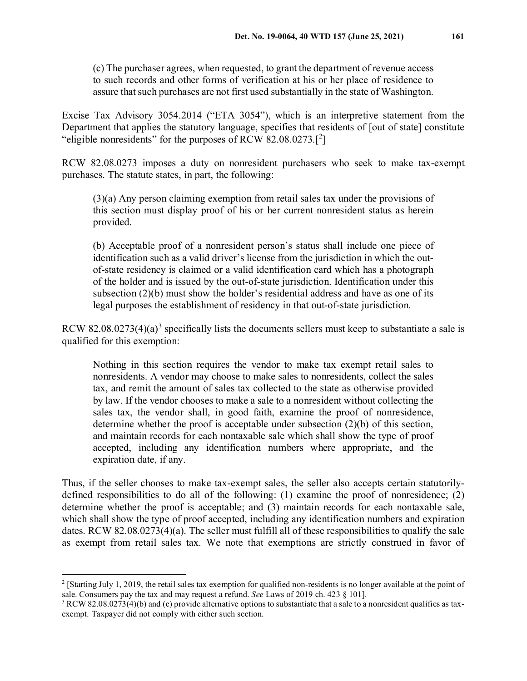(c) The purchaser agrees, when requested, to grant the department of revenue access to such records and other forms of verification at his or her place of residence to assure that such purchases are not first used substantially in the state of Washington.

Excise Tax Advisory 3054.2014 ("ETA 3054"), which is an interpretive statement from the Department that applies the statutory language, specifies that residents of [out of state] constitute "eligible nonresidents" for the purposes of RCW  $82.08.0273$  $82.08.0273$  $82.08.0273$ .<sup>[2</sup>]

RCW 82.08.0273 imposes a duty on nonresident purchasers who seek to make tax-exempt purchases. The statute states, in part, the following:

(3)(a) Any person claiming exemption from retail sales tax under the provisions of this section must display proof of his or her current nonresident status as herein provided.

(b) Acceptable proof of a nonresident person's status shall include one piece of identification such as a valid driver's license from the jurisdiction in which the outof-state residency is claimed or a valid identification card which has a photograph of the holder and is issued by the out-of-state jurisdiction. Identification under this subsection (2)(b) must show the holder's residential address and have as one of its legal purposes the establishment of residency in that out-of-state jurisdiction.

RCW 82.08.027[3](#page-4-1)(4)(a)<sup>3</sup> specifically lists the documents sellers must keep to substantiate a sale is qualified for this exemption:

Nothing in this section requires the vendor to make tax exempt retail sales to nonresidents. A vendor may choose to make sales to nonresidents, collect the sales tax, and remit the amount of sales tax collected to the state as otherwise provided by law. If the vendor chooses to make a sale to a nonresident without collecting the sales tax, the vendor shall, in good faith, examine the proof of nonresidence, determine whether the proof is acceptable under subsection (2)(b) of this section, and maintain records for each nontaxable sale which shall show the type of proof accepted, including any identification numbers where appropriate, and the expiration date, if any.

Thus, if the seller chooses to make tax-exempt sales, the seller also accepts certain statutorilydefined responsibilities to do all of the following: (1) examine the proof of nonresidence; (2) determine whether the proof is acceptable; and (3) maintain records for each nontaxable sale, which shall show the type of proof accepted, including any identification numbers and expiration dates. RCW 82.08.0273(4)(a). The seller must fulfill all of these responsibilities to qualify the sale as exempt from retail sales tax. We note that exemptions are strictly construed in favor of

<span id="page-4-0"></span> $2$  [Starting July 1, 2019, the retail sales tax exemption for qualified non-residents is no longer available at the point of sale. Consumers pay the tax and may request a refund. *See* Laws of 2019 ch. 423 § 101].

<span id="page-4-1"></span> $3$  RCW 82.08.0273(4)(b) and (c) provide alternative options to substantiate that a sale to a nonresident qualifies as taxexempt. Taxpayer did not comply with either such section.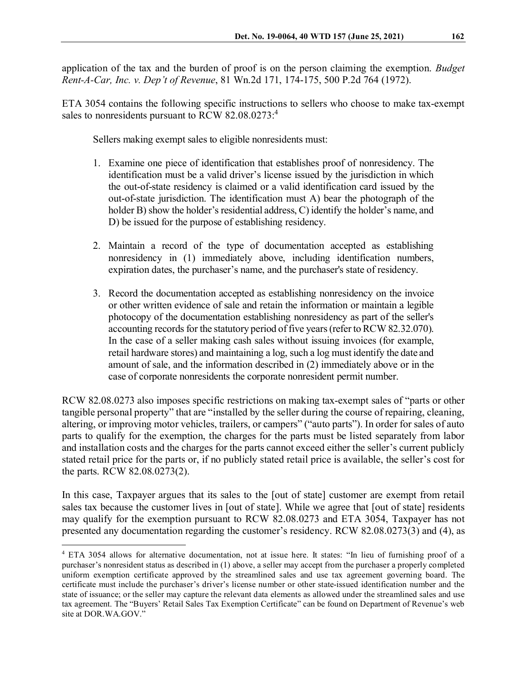application of the tax and the burden of proof is on the person claiming the exemption. *Budget Rent-A-Car, Inc. v. Dep't of Revenue*, 81 Wn.2d 171, 174-175, 500 P.2d 764 (1972).

ETA 3054 contains the following specific instructions to sellers who choose to make tax-exempt sales to nonresidents pursuant to RCW 82.08.0273:<sup>4</sup>

Sellers making exempt sales to eligible nonresidents must:

- 1. Examine one piece of identification that establishes proof of nonresidency. The identification must be a valid driver's license issued by the jurisdiction in which the out-of-state residency is claimed or a valid identification card issued by the out-of-state jurisdiction. The identification must A) bear the photograph of the holder B) show the holder's residential address, C) identify the holder's name, and D) be issued for the purpose of establishing residency.
- 2. Maintain a record of the type of documentation accepted as establishing nonresidency in (1) immediately above, including identification numbers, expiration dates, the purchaser's name, and the purchaser's state of residency.
- 3. Record the documentation accepted as establishing nonresidency on the invoice or other written evidence of sale and retain the information or maintain a legible photocopy of the documentation establishing nonresidency as part of the seller's accounting records for the statutory period of five years (refer to RCW 82.32.070). In the case of a seller making cash sales without issuing invoices (for example, retail hardware stores) and maintaining a log, such a log must identify the date and amount of sale, and the information described in (2) immediately above or in the case of corporate nonresidents the corporate nonresident permit number.

RCW 82.08.0273 also imposes specific restrictions on making tax-exempt sales of "parts or other tangible personal property" that are "installed by the seller during the course of repairing, cleaning, altering, or improving motor vehicles, trailers, or campers" ("auto parts"). In order for sales of auto parts to qualify for the exemption, the charges for the parts must be listed separately from labor and installation costs and the charges for the parts cannot exceed either the seller's current publicly stated retail price for the parts or, if no publicly stated retail price is available, the seller's cost for the parts. RCW 82.08.0273(2).

In this case, Taxpayer argues that its sales to the [out of state] customer are exempt from retail sales tax because the customer lives in [out of state]. While we agree that [out of state] residents may qualify for the exemption pursuant to RCW 82.08.0273 and ETA 3054, Taxpayer has not presented any documentation regarding the customer's residency. RCW 82.08.0273(3) and (4), as

<span id="page-5-0"></span> <sup>4</sup> ETA 3054 allows for alternative documentation, not at issue here. It states: "In lieu of furnishing proof of a purchaser's nonresident status as described in (1) above, a seller may accept from the purchaser a properly completed uniform exemption certificate approved by the streamlined sales and use tax agreement governing board. The certificate must include the purchaser's driver's license number or other state-issued identification number and the state of issuance; or the seller may capture the relevant data elements as allowed under the streamlined sales and use tax agreement. The "Buyers' Retail Sales Tax Exemption Certificate" can be found on Department of Revenue's web site at DOR.WA.GOV."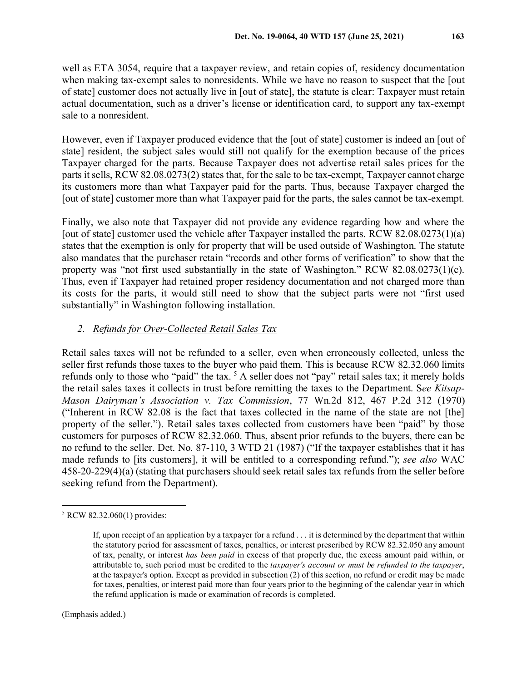well as ETA 3054, require that a taxpayer review, and retain copies of, residency documentation when making tax-exempt sales to nonresidents. While we have no reason to suspect that the [out of state] customer does not actually live in [out of state], the statute is clear: Taxpayer must retain actual documentation, such as a driver's license or identification card, to support any tax-exempt sale to a nonresident.

However, even if Taxpayer produced evidence that the [out of state] customer is indeed an [out of state] resident, the subject sales would still not qualify for the exemption because of the prices Taxpayer charged for the parts. Because Taxpayer does not advertise retail sales prices for the parts it sells, RCW 82.08.0273(2) states that, for the sale to be tax-exempt, Taxpayer cannot charge its customers more than what Taxpayer paid for the parts. Thus, because Taxpayer charged the [out of state] customer more than what Taxpayer paid for the parts, the sales cannot be tax-exempt.

Finally, we also note that Taxpayer did not provide any evidence regarding how and where the [out of state] customer used the vehicle after Taxpayer installed the parts. RCW 82.08.0273(1)(a) states that the exemption is only for property that will be used outside of Washington. The statute also mandates that the purchaser retain "records and other forms of verification" to show that the property was "not first used substantially in the state of Washington." RCW 82.08.0273(1)(c). Thus, even if Taxpayer had retained proper residency documentation and not charged more than its costs for the parts, it would still need to show that the subject parts were not "first used substantially" in Washington following installation.

## *2. Refunds for Over-Collected Retail Sales Tax*

Retail sales taxes will not be refunded to a seller, even when erroneously collected, unless the seller first refunds those taxes to the buyer who paid them. This is because RCW 82.32.060 limits refunds only to those who "paid" the tax. <sup>[5](#page-6-0)</sup> A seller does not "pay" retail sales tax; it merely holds the retail sales taxes it collects in trust before remitting the taxes to the Department. S*ee Kitsap-Mason Dairyman's Association v. Tax Commission*, 77 Wn.2d 812, 467 P.2d 312 (1970) ("Inherent in RCW 82.08 is the fact that taxes collected in the name of the state are not [the] property of the seller."). Retail sales taxes collected from customers have been "paid" by those customers for purposes of RCW 82.32.060. Thus, absent prior refunds to the buyers, there can be no refund to the seller. Det. No. 87-110, 3 WTD 21 (1987) ("If the taxpayer establishes that it has made refunds to [its customers], it will be entitled to a corresponding refund."); *see also* WAC 458-20-229(4)(a) (stating that purchasers should seek retail sales tax refunds from the seller before seeking refund from the Department).

(Emphasis added.)

<span id="page-6-0"></span> $5$  RCW 82.32.060(1) provides:

If, upon receipt of an application by a taxpayer for a refund . . . it is determined by the department that within the statutory period for assessment of taxes, penalties, or interest prescribed by RCW 82.32.050 any amount of tax, penalty, or interest *has been paid* in excess of that properly due, the excess amount paid within, or attributable to, such period must be credited to the *taxpayer's account or must be refunded to the taxpayer*, at the taxpayer's option. Except as provided in subsection (2) of this section, no refund or credit may be made for taxes, penalties, or interest paid more than four years prior to the beginning of the calendar year in which the refund application is made or examination of records is completed.